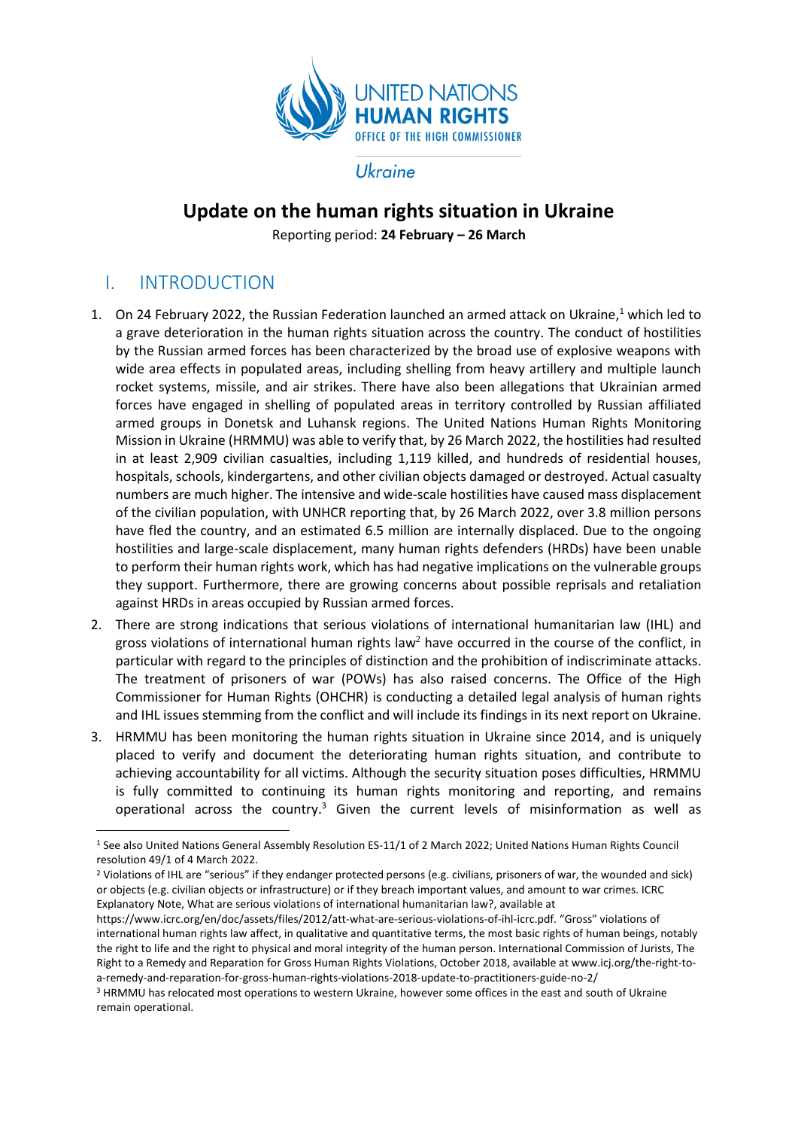

Ukraine

# **Update on the human rights situation in Ukraine**

Reporting period: **24 February – 26 March**

# I. INTRODUCTION

**.** 

- 1. On 24 February 2022, the Russian Federation launched an armed attack on Ukraine,<sup>1</sup> which led to a grave deterioration in the human rights situation across the country. The conduct of hostilities by the Russian armed forces has been characterized by the broad use of explosive weapons with wide area effects in populated areas, including shelling from heavy artillery and multiple launch rocket systems, missile, and air strikes. There have also been allegations that Ukrainian armed forces have engaged in shelling of populated areas in territory controlled by Russian affiliated armed groups in Donetsk and Luhansk regions. The United Nations Human Rights Monitoring Mission in Ukraine (HRMMU) was able to verify that, by 26 March 2022, the hostilities had resulted in at least 2,909 civilian casualties, including 1,119 killed, and hundreds of residential houses, hospitals, schools, kindergartens, and other civilian objects damaged or destroyed. Actual casualty numbers are much higher. The intensive and wide-scale hostilities have caused mass displacement of the civilian population, with UNHCR reporting that, by 26 March 2022, over 3.8 million persons have fled the country, and an estimated 6.5 million are internally displaced. Due to the ongoing hostilities and large-scale displacement, many human rights defenders (HRDs) have been unable to perform their human rights work, which has had negative implications on the vulnerable groups they support. Furthermore, there are growing concerns about possible reprisals and retaliation against HRDs in areas occupied by Russian armed forces.
- 2. There are strong indications that serious violations of international humanitarian law (IHL) and gross violations of international human rights law<sup>2</sup> have occurred in the course of the conflict, in particular with regard to the principles of distinction and the prohibition of indiscriminate attacks. The treatment of prisoners of war (POWs) has also raised concerns. The Office of the High Commissioner for Human Rights (OHCHR) is conducting a detailed legal analysis of human rights and IHL issues stemming from the conflict and will include its findings in its next report on Ukraine.
- 3. HRMMU has been monitoring the human rights situation in Ukraine since 2014, and is uniquely placed to verify and document the deteriorating human rights situation, and contribute to achieving accountability for all victims. Although the security situation poses difficulties, HRMMU is fully committed to continuing its human rights monitoring and reporting, and remains operational across the country.<sup>3</sup> Given the current levels of misinformation as well as

<sup>1</sup> See also United Nations General Assembly Resolution ES-11/1 of 2 March 2022; United Nations Human Rights Council resolution 49/1 of 4 March 2022.

<sup>2</sup> Violations of IHL are "serious" if they endanger protected persons (e.g. civilians, prisoners of war, the wounded and sick) or objects (e.g. civilian objects or infrastructure) or if they breach important values, and amount to war crimes. ICRC Explanatory Note, What are serious violations of international humanitarian law?, available at

https://www.icrc.org/en/doc/assets/files/2012/att-what-are-serious-violations-of-ihl-icrc.pdf. "Gross" violations of international human rights law affect, in qualitative and quantitative terms, the most basic rights of human beings, notably the right to life and the right to physical and moral integrity of the human person. International Commission of Jurists, The Right to a Remedy and Reparation for Gross Human Rights Violations, October 2018, available at www.icj.org/the-right-toa-remedy-and-reparation-for-gross-human-rights-violations-2018-update-to-practitioners-guide-no-2/

<sup>3</sup> HRMMU has relocated most operations to western Ukraine, however some offices in the east and south of Ukraine remain operational.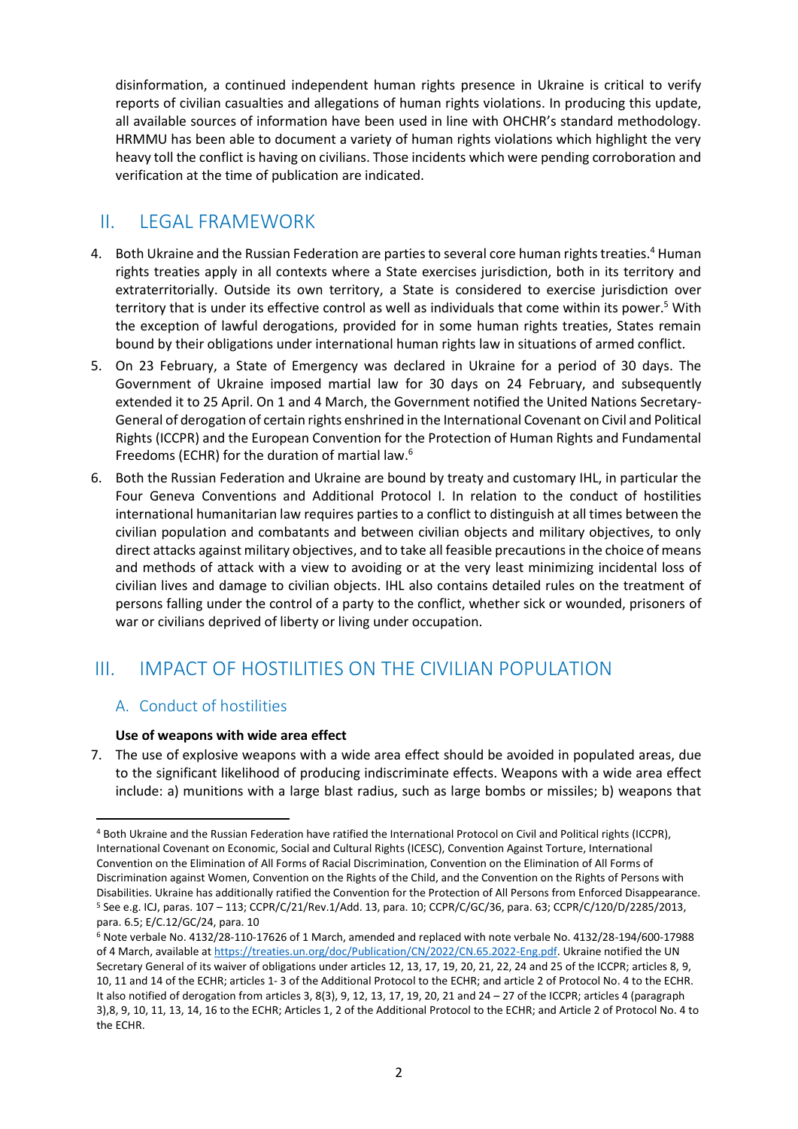disinformation, a continued independent human rights presence in Ukraine is critical to verify reports of civilian casualties and allegations of human rights violations. In producing this update, all available sources of information have been used in line with OHCHR's standard methodology. HRMMU has been able to document a variety of human rights violations which highlight the very heavy toll the conflict is having on civilians. Those incidents which were pending corroboration and verification at the time of publication are indicated.

# II. LEGAL FRAMEWORK

- 4. Both Ukraine and the Russian Federation are parties to several core human rights treaties.<sup>4</sup> Human rights treaties apply in all contexts where a State exercises jurisdiction, both in its territory and extraterritorially. Outside its own territory, a State is considered to exercise jurisdiction over territory that is under its effective control as well as individuals that come within its power.<sup>5</sup> With the exception of lawful derogations, provided for in some human rights treaties, States remain bound by their obligations under international human rights law in situations of armed conflict.
- 5. On 23 February, a State of Emergency was declared in Ukraine for a period of 30 days. The Government of Ukraine imposed martial law for 30 days on 24 February, and subsequently extended it to 25 April. On 1 and 4 March, the Government notified the United Nations Secretary-General of derogation of certain rights enshrined in the International Covenant on Civil and Political Rights (ICCPR) and the European Convention for the Protection of Human Rights and Fundamental Freedoms (ECHR) for the duration of martial law.<sup>6</sup>
- 6. Both the Russian Federation and Ukraine are bound by treaty and customary IHL, in particular the Four Geneva Conventions and Additional Protocol I. In relation to the conduct of hostilities international humanitarian law requires parties to a conflict to distinguish at all times between the civilian population and combatants and between civilian objects and military objectives, to only direct attacks against military objectives, and to take all feasible precautions in the choice of means and methods of attack with a view to avoiding or at the very least minimizing incidental loss of civilian lives and damage to civilian objects. IHL also contains detailed rules on the treatment of persons falling under the control of a party to the conflict, whether sick or wounded, prisoners of war or civilians deprived of liberty or living under occupation.

# III. IMPACT OF HOSTILITIES ON THE CIVILIAN POPULATION

## A. Conduct of hostilities

1

#### **Use of weapons with wide area effect**

7. The use of explosive weapons with a wide area effect should be avoided in populated areas, due to the significant likelihood of producing indiscriminate effects. Weapons with a wide area effect include: a) munitions with a large blast radius, such as large bombs or missiles; b) weapons that

<sup>4</sup> Both Ukraine and the Russian Federation have ratified the International Protocol on Civil and Political rights (ICCPR), International Covenant on Economic, Social and Cultural Rights (ICESC), Convention Against Torture, International Convention on the Elimination of All Forms of Racial Discrimination, Convention on the Elimination of All Forms of Discrimination against Women, Convention on the Rights of the Child, and the Convention on the Rights of Persons with Disabilities. Ukraine has additionally ratified the Convention for the Protection of All Persons from Enforced Disappearance. <sup>5</sup> See e.g. ICJ, paras. 107 – 113; CCPR/C/21/Rev.1/Add. 13, para. 10; CCPR/C/GC/36, para. 63; CCPR/C/120/D/2285/2013, para. 6.5; E/C.12/GC/24, para. 10

<sup>6</sup> Note verbale No. 4132/28-110-17626 of 1 March, amended and replaced with note verbale No. 4132/28-194/600-17988 of 4 March, available at [https://treaties.un.org/doc/Publication/CN/2022/CN.65.2022-Eng.pdf.](https://treaties.un.org/doc/Publication/CN/2022/CN.65.2022-Eng.pdf) Ukraine notified the UN Secretary General of its waiver of obligations under articles 12, 13, 17, 19, 20, 21, 22, 24 and 25 of the ICCPR; articles 8, 9, 10, 11 and 14 of the ECHR; articles 1- 3 of the Additional Protocol to the ECHR; and article 2 of Protocol No. 4 to the ECHR. It also notified of derogation from articles 3, 8(3), 9, 12, 13, 17, 19, 20, 21 and 24 – 27 of the ICCPR; articles 4 (paragraph 3),8, 9, 10, 11, 13, 14, 16 to the ECHR; Articles 1, 2 of the Additional Protocol to the ECHR; and Article 2 of Protocol No. 4 to the ECHR.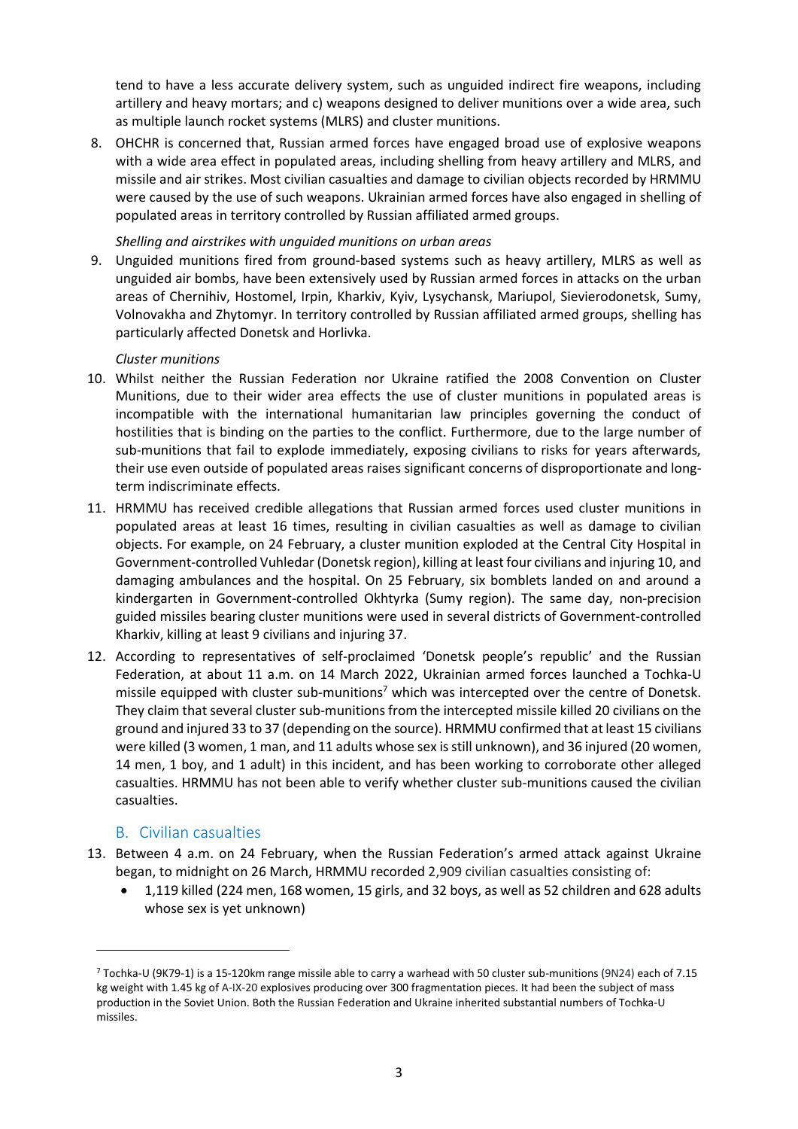tend to have a less accurate delivery system, such as unguided indirect fire weapons, including artillery and heavy mortars; and c) weapons designed to deliver munitions over a wide area, such as multiple launch rocket systems (MLRS) and cluster munitions.

8. OHCHR is concerned that, Russian armed forces have engaged broad use of explosive weapons with a wide area effect in populated areas, including shelling from heavy artillery and MLRS, and missile and air strikes. Most civilian casualties and damage to civilian objects recorded by HRMMU were caused by the use of such weapons. Ukrainian armed forces have also engaged in shelling of populated areas in territory controlled by Russian affiliated armed groups.

#### *Shelling and airstrikes with unguided munitions on urban areas*

9. Unguided munitions fired from ground-based systems such as heavy artillery, MLRS as well as unguided air bombs, have been extensively used by Russian armed forces in attacks on the urban areas of Chernihiv, Hostomel, Irpin, Kharkiv, Kyiv, Lysychansk, Mariupol, Sievierodonetsk, Sumy, Volnovakha and Zhytomyr. In territory controlled by Russian affiliated armed groups, shelling has particularly affected Donetsk and Horlivka.

#### *Cluster munitions*

- 10. Whilst neither the Russian Federation nor Ukraine ratified the 2008 Convention on Cluster Munitions, due to their wider area effects the use of cluster munitions in populated areas is incompatible with the international humanitarian law principles governing the conduct of hostilities that is binding on the parties to the conflict. Furthermore, due to the large number of sub-munitions that fail to explode immediately, exposing civilians to risks for years afterwards, their use even outside of populated areas raises significant concerns of disproportionate and longterm indiscriminate effects.
- 11. HRMMU has received credible allegations that Russian armed forces used cluster munitions in populated areas at least 16 times, resulting in civilian casualties as well as damage to civilian objects. For example, on 24 February, a cluster munition exploded at the Central City Hospital in Government-controlled Vuhledar (Donetsk region), killing at least four civilians and injuring 10, and damaging ambulances and the hospital. On 25 February, six bomblets landed on and around a kindergarten in Government-controlled Okhtyrka (Sumy region). The same day, non-precision guided missiles bearing cluster munitions were used in several districts of Government-controlled Kharkiv, killing at least 9 civilians and injuring 37.
- 12. According to representatives of self-proclaimed 'Donetsk people's republic' and the Russian Federation, at about 11 a.m. on 14 March 2022, Ukrainian armed forces launched a Tochka-U missile equipped with cluster sub-munitions<sup>7</sup> which was intercepted over the centre of Donetsk. They claim that several cluster sub-munitions from the intercepted missile killed 20 civilians on the ground and injured 33 to 37 (depending on the source). HRMMU confirmed that at least 15 civilians were killed (3 women, 1 man, and 11 adults whose sex is still unknown), and 36 injured (20 women, 14 men, 1 boy, and 1 adult) in this incident, and has been working to corroborate other alleged casualties. HRMMU has not been able to verify whether cluster sub-munitions caused the civilian casualties.

#### B. Civilian casualties

 $\overline{a}$ 

- 13. Between 4 a.m. on 24 February, when the Russian Federation's armed attack against Ukraine began, to midnight on 26 March, HRMMU recorded 2,909 civilian casualties consisting of:
	- 1,119 killed (224 men, 168 women, 15 girls, and 32 boys, as well as 52 children and 628 adults whose sex is yet unknown)

<sup>7</sup> Tochka-U (9K79-1) is a 15-120km range missile able to carry a warhead with 50 cluster sub-munitions (9N24) each of 7.15 kg weight with 1.45 kg of А-IХ-20 explosives producing over 300 fragmentation pieces. It had been the subject of mass production in the Soviet Union. Both the Russian Federation and Ukraine inherited substantial numbers of Tochka-U missiles.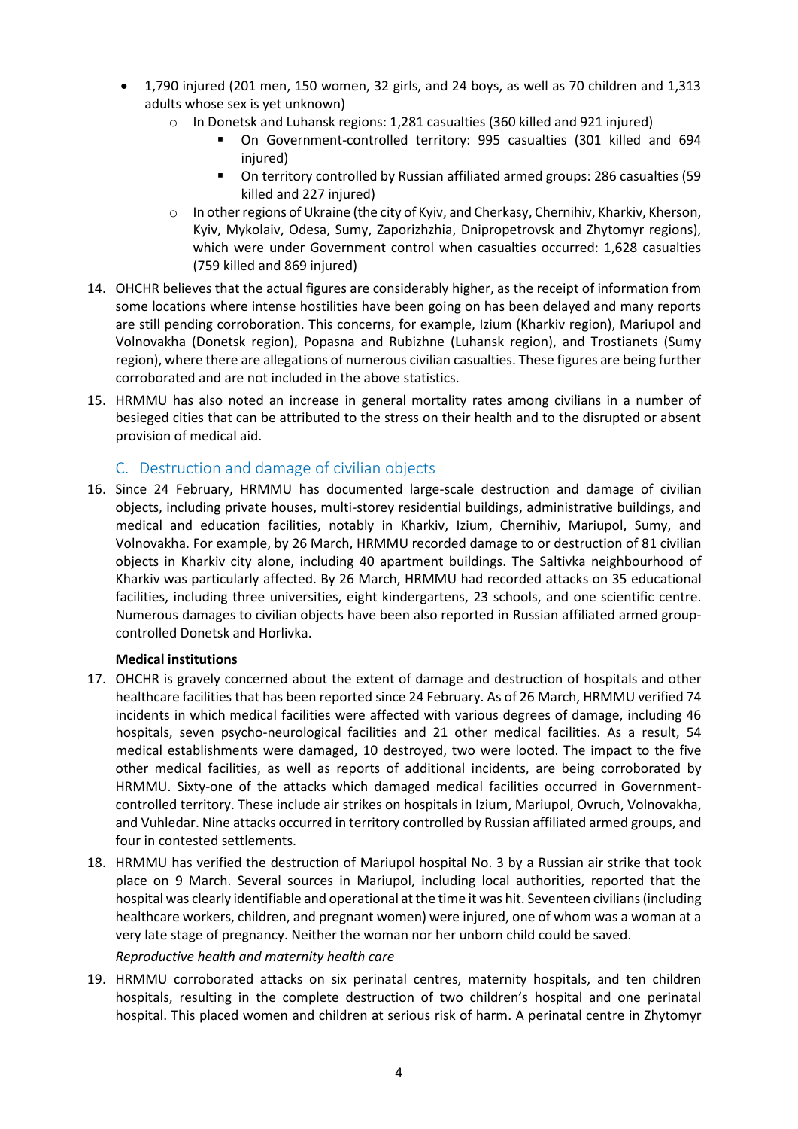- 1,790 injured (201 men, 150 women, 32 girls, and 24 boys, as well as 70 children and 1,313 adults whose sex is yet unknown)
	- o In Donetsk and Luhansk regions: 1,281 casualties (360 killed and 921 injured)
		- On Government-controlled territory: 995 casualties (301 killed and 694 injured)
		- On territory controlled by Russian affiliated armed groups: 286 casualties (59 killed and 227 injured)
	- o In other regions of Ukraine (the city of Kyiv, and Cherkasy, Chernihiv, Kharkiv, Kherson, Kyiv, Mykolaiv, Odesa, Sumy, Zaporizhzhia, Dnipropetrovsk and Zhytomyr regions), which were under Government control when casualties occurred: 1,628 casualties (759 killed and 869 injured)
- 14. OHCHR believes that the actual figures are considerably higher, as the receipt of information from some locations where intense hostilities have been going on has been delayed and many reports are still pending corroboration. This concerns, for example, Izium (Kharkiv region), Mariupol and Volnovakha (Donetsk region), Popasna and Rubizhne (Luhansk region), and Trostianets (Sumy region), where there are allegations of numerous civilian casualties. These figures are being further corroborated and are not included in the above statistics.
- 15. HRMMU has also noted an increase in general mortality rates among civilians in a number of besieged cities that can be attributed to the stress on their health and to the disrupted or absent provision of medical aid.

## C. Destruction and damage of civilian objects

16. Since 24 February, HRMMU has documented large-scale destruction and damage of civilian objects, including private houses, multi-storey residential buildings, administrative buildings, and medical and education facilities, notably in Kharkiv, Izium, Chernihiv, Mariupol, Sumy, and Volnovakha. For example, by 26 March, HRMMU recorded damage to or destruction of 81 civilian objects in Kharkiv city alone, including 40 apartment buildings. The Saltivka neighbourhood of Kharkiv was particularly affected. By 26 March, HRMMU had recorded attacks on 35 educational facilities, including three universities, eight kindergartens, 23 schools, and one scientific centre. Numerous damages to civilian objects have been also reported in Russian affiliated armed groupcontrolled Donetsk and Horlivka.

#### **Medical institutions**

- 17. OHCHR is gravely concerned about the extent of damage and destruction of hospitals and other healthcare facilities that has been reported since 24 February. As of 26 March, HRMMU verified 74 incidents in which medical facilities were affected with various degrees of damage, including 46 hospitals, seven psycho-neurological facilities and 21 other medical facilities. As a result, 54 medical establishments were damaged, 10 destroyed, two were looted. The impact to the five other medical facilities, as well as reports of additional incidents, are being corroborated by HRMMU. Sixty-one of the attacks which damaged medical facilities occurred in Governmentcontrolled territory. These include air strikes on hospitals in Izium, Mariupol, Ovruch, Volnovakha, and Vuhledar. Nine attacks occurred in territory controlled by Russian affiliated armed groups, and four in contested settlements.
- 18. HRMMU has verified the destruction of Mariupol hospital No. 3 by a Russian air strike that took place on 9 March. Several sources in Mariupol, including local authorities, reported that the hospital was clearly identifiable and operational at the time it was hit. Seventeen civilians (including healthcare workers, children, and pregnant women) were injured, one of whom was a woman at a very late stage of pregnancy. Neither the woman nor her unborn child could be saved.

#### *Reproductive health and maternity health care*

19. HRMMU corroborated attacks on six perinatal centres, maternity hospitals, and ten children hospitals, resulting in the complete destruction of two children's hospital and one perinatal hospital. This placed women and children at serious risk of harm. A perinatal centre in Zhytomyr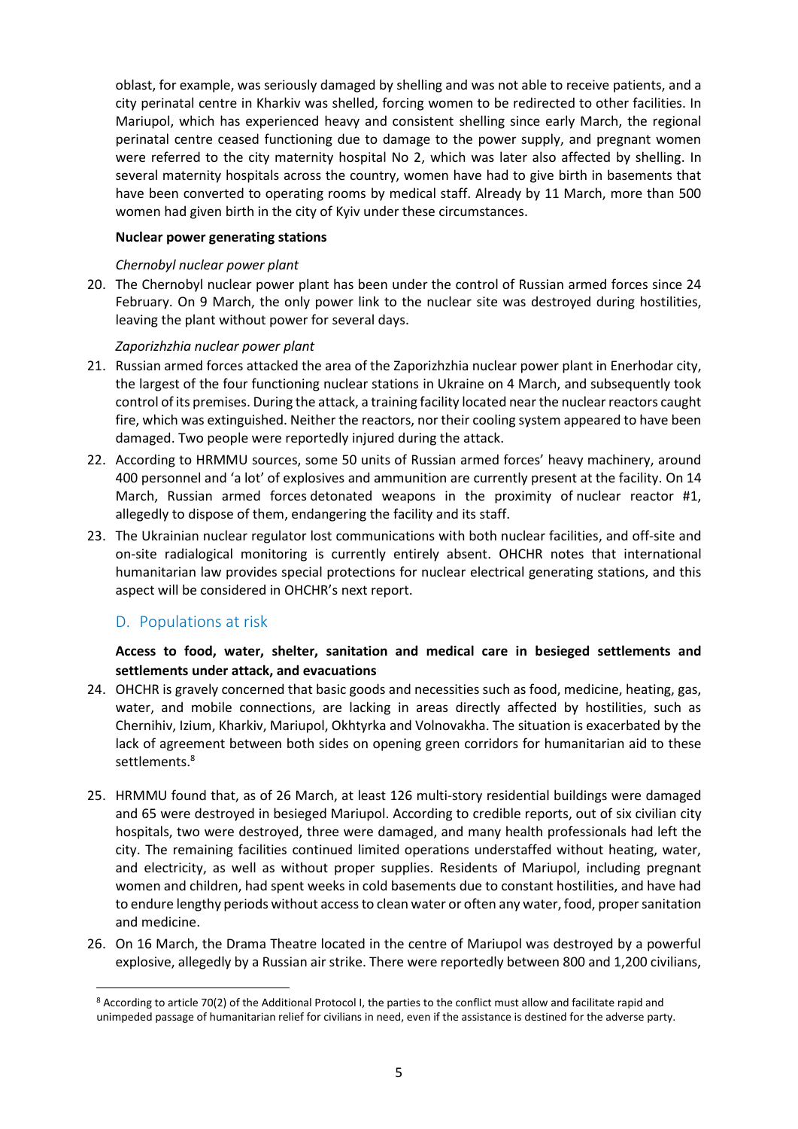oblast, for example, was seriously damaged by shelling and was not able to receive patients, and a city perinatal centre in Kharkiv was shelled, forcing women to be redirected to other facilities. In Mariupol, which has experienced heavy and consistent shelling since early March, the regional perinatal centre ceased functioning due to damage to the power supply, and pregnant women were referred to the city maternity hospital No 2, which was later also affected by shelling. In several maternity hospitals across the country, women have had to give birth in basements that have been converted to operating rooms by medical staff. Already by 11 March, more than 500 women had given birth in the city of Kyiv under these circumstances.

#### **Nuclear power generating stations**

#### *Chernobyl nuclear power plant*

20. The Chernobyl nuclear power plant has been under the control of Russian armed forces since 24 February. On 9 March, the only power link to the nuclear site was destroyed during hostilities, leaving the plant without power for several days.

#### *Zaporizhzhia nuclear power plant*

- 21. Russian armed forces attacked the area of the Zaporizhzhia nuclear power plant in Enerhodar city, the largest of the four functioning nuclear stations in Ukraine on 4 March, and subsequently took control of its premises. During the attack, a training facility located near the nuclear reactors caught fire, which was extinguished. Neither the reactors, nor their cooling system appeared to have been damaged. Two people were reportedly injured during the attack.
- 22. According to HRMMU sources, some 50 units of Russian armed forces' heavy machinery, around 400 personnel and 'a lot' of explosives and ammunition are currently present at the facility. On 14 March, Russian armed forces detonated weapons in the proximity of nuclear reactor #1, allegedly to dispose of them, endangering the facility and its staff.
- 23. The Ukrainian nuclear regulator lost communications with both nuclear facilities, and off-site and on-site radialogical monitoring is currently entirely absent. OHCHR notes that international humanitarian law provides special protections for nuclear electrical generating stations, and this aspect will be considered in OHCHR's next report.

## D. Populations at risk

### **Access to food, water, shelter, sanitation and medical care in besieged settlements and settlements under attack, and evacuations**

- 24. OHCHR is gravely concerned that basic goods and necessities such as food, medicine, heating, gas, water, and mobile connections, are lacking in areas directly affected by hostilities, such as Chernihiv, Izium, Kharkiv, Mariupol, Okhtyrka and Volnovakha. The situation is exacerbated by the lack of agreement between both sides on opening green corridors for humanitarian aid to these settlements.<sup>8</sup>
- 25. HRMMU found that, as of 26 March, at least 126 multi-story residential buildings were damaged and 65 were destroyed in besieged Mariupol. According to credible reports, out of six civilian city hospitals, two were destroyed, three were damaged, and many health professionals had left the city. The remaining facilities continued limited operations understaffed without heating, water, and electricity, as well as without proper supplies. Residents of Mariupol, including pregnant women and children, had spent weeks in cold basements due to constant hostilities, and have had to endure lengthy periods without access to clean water or often any water, food, proper sanitation and medicine.
- 26. On 16 March, the Drama Theatre located in the centre of Mariupol was destroyed by a powerful explosive, allegedly by a Russian air strike. There were reportedly between 800 and 1,200 civilians,

**<sup>.</sup>** <sup>8</sup> According to article 70(2) of the Additional Protocol I, the parties to the conflict must allow and facilitate rapid and unimpeded passage of humanitarian relief for civilians in need, even if the assistance is destined for the adverse party.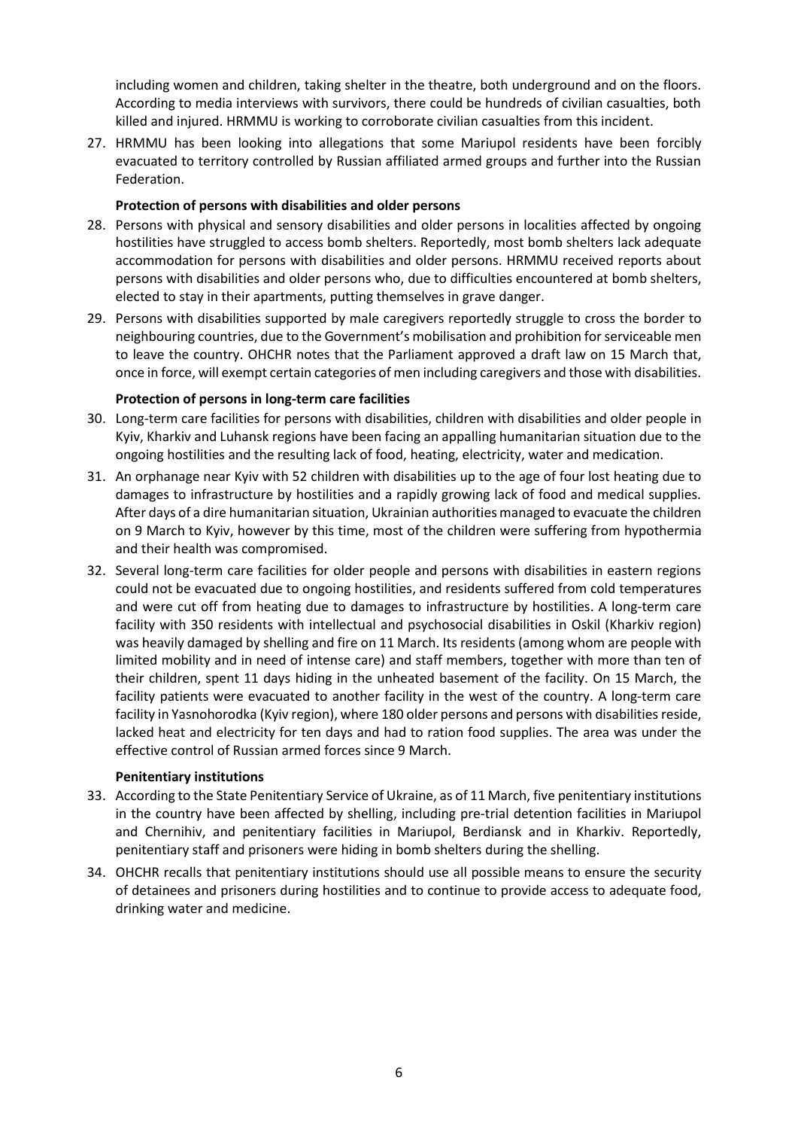including women and children, taking shelter in the theatre, both underground and on the floors. According to media interviews with survivors, there could be hundreds of civilian casualties, both killed and injured. HRMMU is working to corroborate civilian casualties from this incident.

27. HRMMU has been looking into allegations that some Mariupol residents have been forcibly evacuated to territory controlled by Russian affiliated armed groups and further into the Russian Federation.

#### **Protection of persons with disabilities and older persons**

- 28. Persons with physical and sensory disabilities and older persons in localities affected by ongoing hostilities have struggled to access bomb shelters. Reportedly, most bomb shelters lack adequate accommodation for persons with disabilities and older persons. HRMMU received reports about persons with disabilities and older persons who, due to difficulties encountered at bomb shelters, elected to stay in their apartments, putting themselves in grave danger.
- 29. Persons with disabilities supported by male caregivers reportedly struggle to cross the border to neighbouring countries, due to the Government's mobilisation and prohibition for serviceable men to leave the country. OHCHR notes that the Parliament approved a draft law on 15 March that, once in force, will exempt certain categories of men including caregivers and those with disabilities.

#### **Protection of persons in long-term care facilities**

- 30. Long-term care facilities for persons with disabilities, children with disabilities and older people in Kyiv, Kharkiv and Luhansk regions have been facing an appalling humanitarian situation due to the ongoing hostilities and the resulting lack of food, heating, electricity, water and medication.
- 31. An orphanage near Kyiv with 52 children with disabilities up to the age of four lost heating due to damages to infrastructure by hostilities and a rapidly growing lack of food and medical supplies. After days of a dire humanitarian situation, Ukrainian authorities managed to evacuate the children on 9 March to Kyiv, however by this time, most of the children were suffering from hypothermia and their health was compromised.
- 32. Several long-term care facilities for older people and persons with disabilities in eastern regions could not be evacuated due to ongoing hostilities, and residents suffered from cold temperatures and were cut off from heating due to damages to infrastructure by hostilities. A long-term care facility with 350 residents with intellectual and psychosocial disabilities in Oskil (Kharkiv region) was heavily damaged by shelling and fire on 11 March. Its residents (among whom are people with limited mobility and in need of intense care) and staff members, together with more than ten of their children, spent 11 days hiding in the unheated basement of the facility. On 15 March, the facility patients were evacuated to another facility in the west of the country. A long-term care facility in Yasnohorodka (Kyiv region), where 180 older persons and persons with disabilities reside, lacked heat and electricity for ten days and had to ration food supplies. The area was under the effective control of Russian armed forces since 9 March.

#### **Penitentiary institutions**

- 33. According to the State Penitentiary Service of Ukraine, as of 11 March, five penitentiary institutions in the country have been affected by shelling, including pre-trial detention facilities in Mariupol and Chernihiv, and penitentiary facilities in Mariupol, Berdiansk and in Kharkiv. Reportedly, penitentiary staff and prisoners were hiding in bomb shelters during the shelling.
- 34. OHCHR recalls that penitentiary institutions should use all possible means to ensure the security of detainees and prisoners during hostilities and to continue to provide access to adequate food, drinking water and medicine.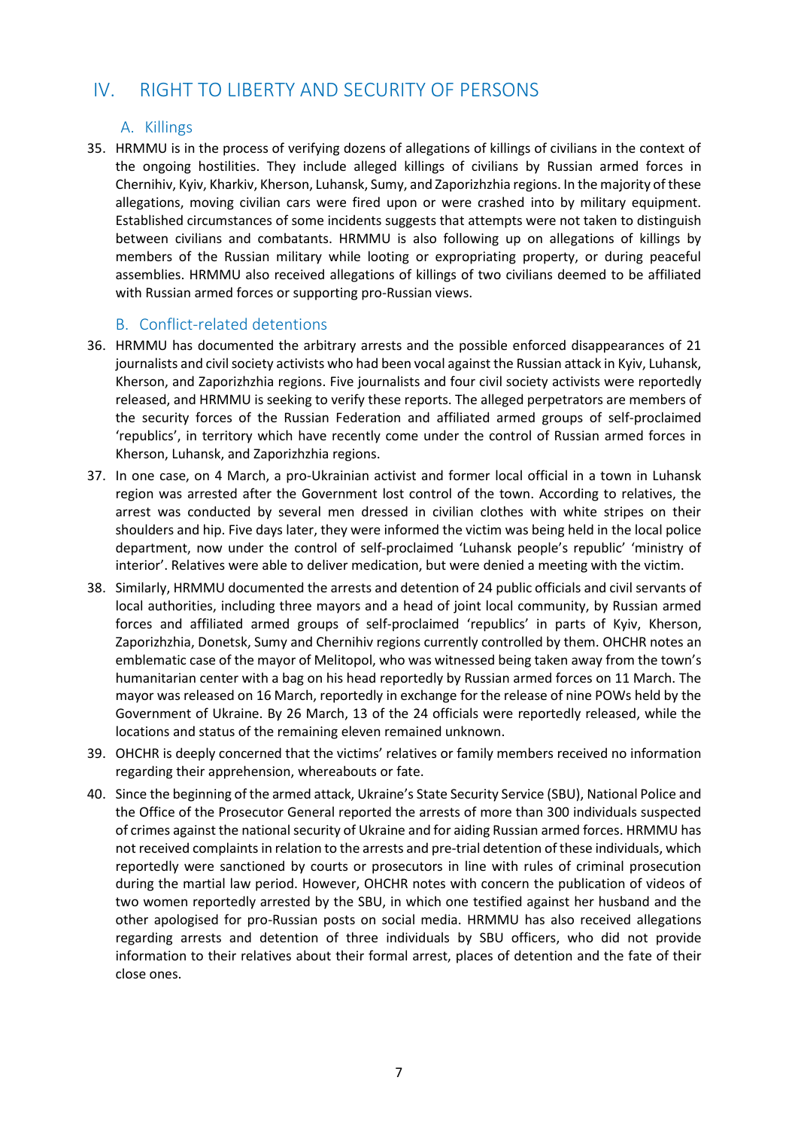# IV. RIGHT TO LIBERTY AND SECURITY OF PERSONS

### A. Killings

35. HRMMU is in the process of verifying dozens of allegations of killings of civilians in the context of the ongoing hostilities. They include alleged killings of civilians by Russian armed forces in Chernihiv, Kyiv, Kharkiv, Kherson, Luhansk, Sumy, and Zaporizhzhia regions. In the majority of these allegations, moving civilian cars were fired upon or were crashed into by military equipment. Established circumstances of some incidents suggests that attempts were not taken to distinguish between civilians and combatants. HRMMU is also following up on allegations of killings by members of the Russian military while looting or expropriating property, or during peaceful assemblies. HRMMU also received allegations of killings of two civilians deemed to be affiliated with Russian armed forces or supporting pro-Russian views.

### B. Conflict-related detentions

- 36. HRMMU has documented the arbitrary arrests and the possible enforced disappearances of 21 journalists and civil society activists who had been vocal against the Russian attack in Kyiv, Luhansk, Kherson, and Zaporizhzhia regions. Five journalists and four civil society activists were reportedly released, and HRMMU is seeking to verify these reports. The alleged perpetrators are members of the security forces of the Russian Federation and affiliated armed groups of self-proclaimed 'republics', in territory which have recently come under the control of Russian armed forces in Kherson, Luhansk, and Zaporizhzhia regions.
- 37. In one case, on 4 March, a pro-Ukrainian activist and former local official in a town in Luhansk region was arrested after the Government lost control of the town. According to relatives, the arrest was conducted by several men dressed in civilian clothes with white stripes on their shoulders and hip. Five days later, they were informed the victim was being held in the local police department, now under the control of self-proclaimed 'Luhansk people's republic' 'ministry of interior'. Relatives were able to deliver medication, but were denied a meeting with the victim.
- 38. Similarly, HRMMU documented the arrests and detention of 24 public officials and civil servants of local authorities, including three mayors and a head of joint local community, by Russian armed forces and affiliated armed groups of self-proclaimed 'republics' in parts of Kyiv, Kherson, Zaporizhzhia, Donetsk, Sumy and Chernihiv regions currently controlled by them. OHCHR notes an emblematic case of the mayor of Melitopol, who was witnessed being taken away from the town's humanitarian center with a bag on his head reportedly by Russian armed forces on 11 March. The mayor was released on 16 March, reportedly in exchange for the release of nine POWs held by the Government of Ukraine. By 26 March, 13 of the 24 officials were reportedly released, while the locations and status of the remaining eleven remained unknown.
- 39. OHCHR is deeply concerned that the victims' relatives or family members received no information regarding their apprehension, whereabouts or fate.
- 40. Since the beginning of the armed attack, Ukraine's State Security Service (SBU), National Police and the Office of the Prosecutor General reported the arrests of more than 300 individuals suspected of crimes against the national security of Ukraine and for aiding Russian armed forces. HRMMU has not received complaints in relation to the arrests and pre-trial detention of these individuals, which reportedly were sanctioned by courts or prosecutors in line with rules of criminal prosecution during the martial law period. However, OHCHR notes with concern the publication of videos of two women reportedly arrested by the SBU, in which one testified against her husband and the other apologised for pro-Russian posts on social media. HRMMU has also received allegations regarding arrests and detention of three individuals by SBU officers, who did not provide information to their relatives about their formal arrest, places of detention and the fate of their close ones.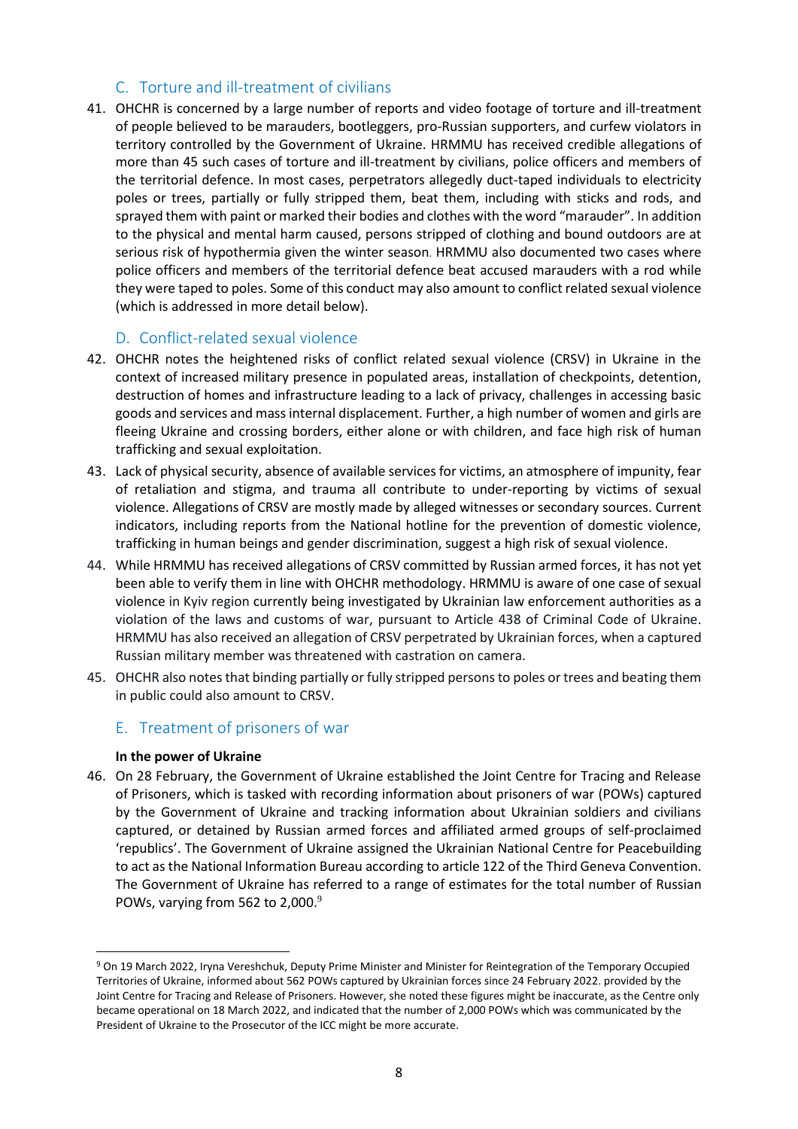# C. Torture and ill-treatment of civilians

41. OHCHR is concerned by a large number of reports and video footage of torture and ill-treatment of people believed to be marauders, bootleggers, pro-Russian supporters, and curfew violators in territory controlled by the Government of Ukraine. HRMMU has received credible allegations of more than 45 such cases of torture and ill-treatment by civilians, police officers and members of the territorial defence. In most cases, perpetrators allegedly duct-taped individuals to electricity poles or trees, partially or fully stripped them, beat them, including with sticks and rods, and sprayed them with paint or marked their bodies and clothes with the word "marauder". In addition to the physical and mental harm caused, persons stripped of clothing and bound outdoors are at serious risk of hypothermia given the winter season. HRMMU also documented two cases where police officers and members of the territorial defence beat accused marauders with a rod while they were taped to poles. Some of this conduct may also amount to conflict related sexual violence (which is addressed in more detail below).

## D. Conflict-related sexual violence

- 42. OHCHR notes the heightened risks of conflict related sexual violence (CRSV) in Ukraine in the context of increased military presence in populated areas, installation of checkpoints, detention, destruction of homes and infrastructure leading to a lack of privacy, challenges in accessing basic goods and services and mass internal displacement. Further, a high number of women and girls are fleeing Ukraine and crossing borders, either alone or with children, and face high risk of human trafficking and sexual exploitation.
- 43. Lack of physical security, absence of available services for victims, an atmosphere of impunity, fear of retaliation and stigma, and trauma all contribute to under-reporting by victims of sexual violence. Allegations of CRSV are mostly made by alleged witnesses or secondary sources. Current indicators, including reports from the National hotline for the prevention of domestic violence, trafficking in human beings and gender discrimination, suggest a high risk of sexual violence.
- 44. While HRMMU has received allegations of CRSV committed by Russian armed forces, it has not yet been able to verify them in line with OHCHR methodology. HRMMU is aware of one case of sexual violence in Kyiv region currently being investigated by Ukrainian law enforcement authorities as a violation of the laws and customs of war, pursuant to Article 438 of Criminal Code of Ukraine. HRMMU has also received an allegation of CRSV perpetrated by Ukrainian forces, when a captured Russian military member was threatened with castration on camera.
- 45. OHCHR also notes that binding partially or fully stripped personsto poles or trees and beating them in public could also amount to CRSV.

## E. Treatment of prisoners of war

#### **In the power of Ukraine**

**.** 

46. On 28 February, the Government of Ukraine established the Joint Centre for Tracing and Release of Prisoners, which is tasked with recording information about prisoners of war (POWs) captured by the Government of Ukraine and tracking information about Ukrainian soldiers and civilians captured, or detained by Russian armed forces and affiliated armed groups of self-proclaimed 'republics'. The Government of Ukraine assigned the Ukrainian National Centre for Peacebuilding to act as the National Information Bureau according to article 122 of the Third Geneva Convention. The Government of Ukraine has referred to a range of estimates for the total number of Russian POWs, varying from 562 to 2,000.9

<sup>9</sup> On 19 March 2022, Iryna Vereshchuk, Deputy Prime Minister and Minister for Reintegration of the Temporary Occupied Territories of Ukraine, informed about 562 POWs captured by Ukrainian forces since 24 February 2022. provided by the Joint Centre for Tracing and Release of Prisoners. However, she noted these figures might be inaccurate, as the Centre only became operational on 18 March 2022, and indicated that the number of 2,000 POWs which was communicated by the President of Ukraine to the Prosecutor of the ICC might be more accurate.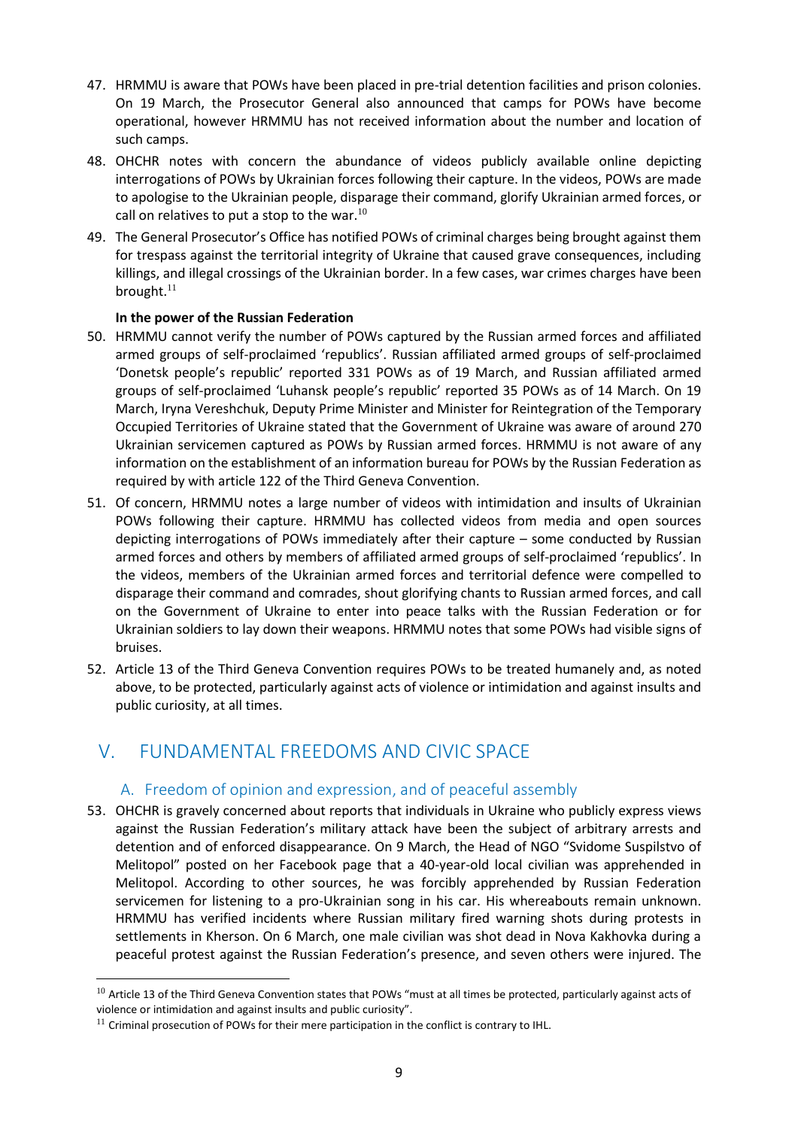- 47. HRMMU is aware that POWs have been placed in pre-trial detention facilities and prison colonies. On 19 March, the Prosecutor General also announced that camps for POWs have become operational, however HRMMU has not received information about the number and location of such camps.
- 48. OHCHR notes with concern the abundance of videos publicly available online depicting interrogations of POWs by Ukrainian forces following their capture. In the videos, POWs are made to apologise to the Ukrainian people, disparage their command, glorify Ukrainian armed forces, or call on relatives to put a stop to the war. $^{10}$
- 49. The General Prosecutor's Office has notified POWs of criminal charges being brought against them for trespass against the territorial integrity of Ukraine that caused grave consequences, including killings, and illegal crossings of the Ukrainian border. In a few cases, war crimes charges have been brought. $11$

#### **In the power of the Russian Federation**

- 50. HRMMU cannot verify the number of POWs captured by the Russian armed forces and affiliated armed groups of self-proclaimed 'republics'. Russian affiliated armed groups of self-proclaimed 'Donetsk people's republic' reported 331 POWs as of 19 March, and Russian affiliated armed groups of self-proclaimed 'Luhansk people's republic' reported 35 POWs as of 14 March. On 19 March, Iryna Vereshchuk, Deputy Prime Minister and Minister for Reintegration of the Temporary Occupied Territories of Ukraine stated that the Government of Ukraine was aware of around 270 Ukrainian servicemen captured as POWs by Russian armed forces. HRMMU is not aware of any information on the establishment of an information bureau for POWs by the Russian Federation as required by with article 122 of the Third Geneva Convention.
- 51. Of concern, HRMMU notes a large number of videos with intimidation and insults of Ukrainian POWs following their capture. HRMMU has collected videos from media and open sources depicting interrogations of POWs immediately after their capture – some conducted by Russian armed forces and others by members of affiliated armed groups of self-proclaimed 'republics'. In the videos, members of the Ukrainian armed forces and territorial defence were compelled to disparage their command and comrades, shout glorifying chants to Russian armed forces, and call on the Government of Ukraine to enter into peace talks with the Russian Federation or for Ukrainian soldiers to lay down their weapons. HRMMU notes that some POWs had visible signs of bruises.
- 52. Article 13 of the Third Geneva Convention requires POWs to be treated humanely and, as noted above, to be protected, particularly against acts of violence or intimidation and against insults and public curiosity, at all times.

# V. FUNDAMENTAL FREEDOMS AND CIVIC SPACE

#### A. Freedom of opinion and expression, and of peaceful assembly

53. OHCHR is gravely concerned about reports that individuals in Ukraine who publicly express views against the Russian Federation's military attack have been the subject of arbitrary arrests and detention and of enforced disappearance. On 9 March, the Head of NGO "Svidome Suspilstvo of Melitopol" posted on her Facebook page that a 40-year-old local civilian was apprehended in Melitopol. According to other sources, he was forcibly apprehended by Russian Federation servicemen for listening to a pro-Ukrainian song in his car. His whereabouts remain unknown. HRMMU has verified incidents where Russian military fired warning shots during protests in settlements in Kherson. On 6 March, one male civilian was shot dead in Nova Kakhovka during a peaceful protest against the Russian Federation's presence, and seven others were injured. The

 $\overline{a}$ 

 $10$  Article 13 of the Third Geneva Convention states that POWs "must at all times be protected, particularly against acts of violence or intimidation and against insults and public curiosity".

 $11$  Criminal prosecution of POWs for their mere participation in the conflict is contrary to IHL.